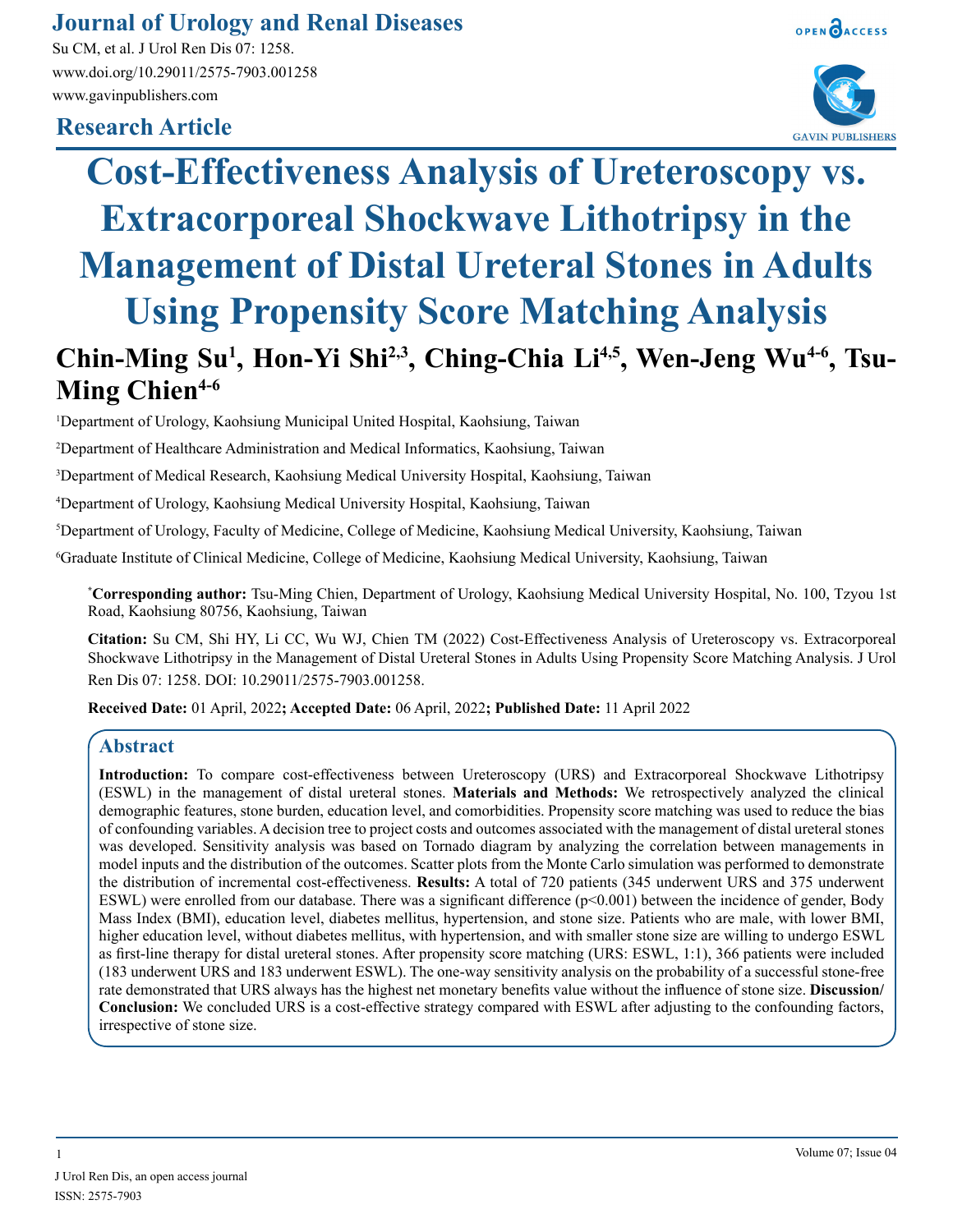# **Journal of Urology and Renal Diseases**

Su CM, et al. J Urol Ren Dis 07: 1258. www.doi.org/10.29011/2575-7903.001258 www.gavinpublishers.com

# **Research Article**





# **Cost-Effectiveness Analysis of Ureteroscopy vs. Extracorporeal Shockwave Lithotripsy in the Management of Distal Ureteral Stones in Adults Using Propensity Score Matching Analysis**

# Chin-Ming Su<sup>1</sup>, Hon-Yi Shi<sup>2,3</sup>, Ching-Chia Li<sup>4,5</sup>, Wen-Jeng Wu<sup>4-6</sup>, Tsu-Ming Chien<sup>4-6</sup>

1 Department of Urology, Kaohsiung Municipal United Hospital, Kaohsiung, Taiwan

2 Department of Healthcare Administration and Medical Informatics, Kaohsiung, Taiwan

3 Department of Medical Research, Kaohsiung Medical University Hospital, Kaohsiung, Taiwan

4 Department of Urology, Kaohsiung Medical University Hospital, Kaohsiung, Taiwan

5 Department of Urology, Faculty of Medicine, College of Medicine, Kaohsiung Medical University, Kaohsiung, Taiwan

6 Graduate Institute of Clinical Medicine, College of Medicine, Kaohsiung Medical University, Kaohsiung, Taiwan

**\* Corresponding author:** Tsu-Ming Chien, Department of Urology, Kaohsiung Medical University Hospital, No. 100, Tzyou 1st Road, Kaohsiung 80756, Kaohsiung, Taiwan

**Citation:** Su CM, Shi HY, Li CC, Wu WJ, Chien TM (2022) Cost-Effectiveness Analysis of Ureteroscopy vs. Extracorporeal Shockwave Lithotripsy in the Management of Distal Ureteral Stones in Adults Using Propensity Score Matching Analysis. J Urol Ren Dis 07: 1258. DOI: 10.29011/2575-7903.001258.

**Received Date:** 01 April, 2022**; Accepted Date:** 06 April, 2022**; Published Date:** 11 April 2022

## **Abstract**

**Introduction:** To compare cost-effectiveness between Ureteroscopy (URS) and Extracorporeal Shockwave Lithotripsy (ESWL) in the management of distal ureteral stones. **Materials and Methods:** We retrospectively analyzed the clinical demographic features, stone burden, education level, and comorbidities. Propensity score matching was used to reduce the bias of confounding variables. A decision tree to project costs and outcomes associated with the management of distal ureteral stones was developed. Sensitivity analysis was based on Tornado diagram by analyzing the correlation between managements in model inputs and the distribution of the outcomes. Scatter plots from the Monte Carlo simulation was performed to demonstrate the distribution of incremental cost-effectiveness. **Results:** A total of 720 patients (345 underwent URS and 375 underwent ESWL) were enrolled from our database. There was a significant difference  $(p<0.001)$  between the incidence of gender, Body Mass Index (BMI), education level, diabetes mellitus, hypertension, and stone size. Patients who are male, with lower BMI, higher education level, without diabetes mellitus, with hypertension, and with smaller stone size are willing to undergo ESWL as first-line therapy for distal ureteral stones. After propensity score matching (URS: ESWL, 1:1), 366 patients were included (183 underwent URS and 183 underwent ESWL). The one-way sensitivity analysis on the probability of a successful stone-free rate demonstrated that URS always has the highest net monetary benefits value without the influence of stone size. **Discussion/ Conclusion:** We concluded URS is a cost-effective strategy compared with ESWL after adjusting to the confounding factors, irrespective of stone size.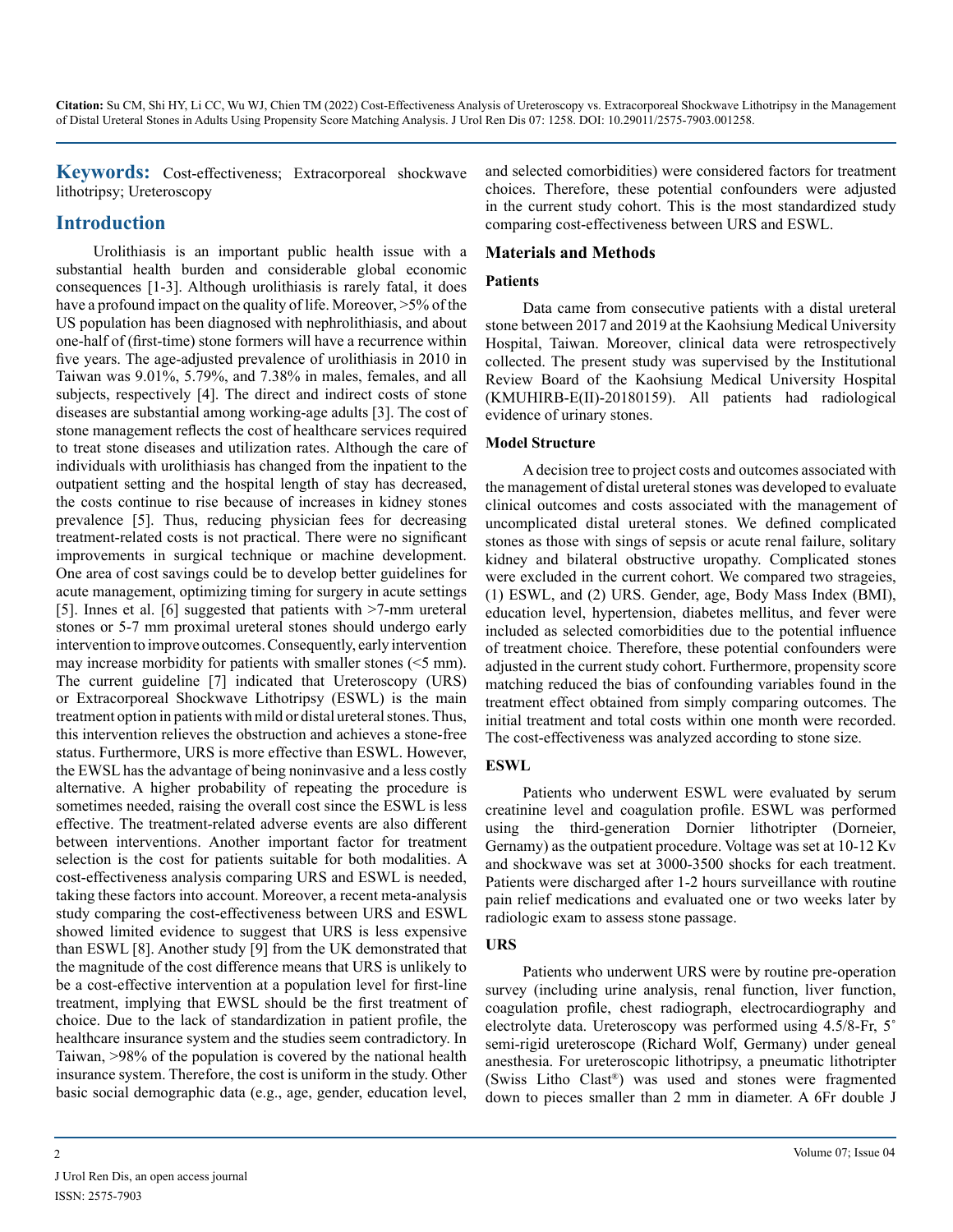**Keywords:** Cost-effectiveness; Extracorporeal shockwave lithotripsy; Ureteroscopy

# **Introduction**

Urolithiasis is an important public health issue with a substantial health burden and considerable global economic consequences [1-3]. Although urolithiasis is rarely fatal, it does have a profound impact on the quality of life. Moreover,  $>5\%$  of the US population has been diagnosed with nephrolithiasis, and about one-half of (first-time) stone formers will have a recurrence within five years. The age-adjusted prevalence of urolithiasis in 2010 in Taiwan was 9.01%, 5.79%, and 7.38% in males, females, and all subjects, respectively [4]. The direct and indirect costs of stone diseases are substantial among working-age adults [3]. The cost of stone management reflects the cost of healthcare services required to treat stone diseases and utilization rates. Although the care of individuals with urolithiasis has changed from the inpatient to the outpatient setting and the hospital length of stay has decreased, the costs continue to rise because of increases in kidney stones prevalence [5]. Thus, reducing physician fees for decreasing treatment-related costs is not practical. There were no significant improvements in surgical technique or machine development. One area of cost savings could be to develop better guidelines for acute management, optimizing timing for surgery in acute settings [5]. Innes et al. [6] suggested that patients with >7-mm ureteral stones or 5-7 mm proximal ureteral stones should undergo early intervention to improve outcomes. Consequently, early intervention may increase morbidity for patients with smaller stones (<5 mm). The current guideline [7] indicated that Ureteroscopy (URS) or Extracorporeal Shockwave Lithotripsy (ESWL) is the main treatment option in patients with mild or distal ureteral stones. Thus, this intervention relieves the obstruction and achieves a stone-free status. Furthermore, URS is more effective than ESWL. However, the EWSL has the advantage of being noninvasive and a less costly alternative. A higher probability of repeating the procedure is sometimes needed, raising the overall cost since the ESWL is less effective. The treatment-related adverse events are also different between interventions. Another important factor for treatment selection is the cost for patients suitable for both modalities. A cost-effectiveness analysis comparing URS and ESWL is needed, taking these factors into account. Moreover, a recent meta-analysis study comparing the cost-effectiveness between URS and ESWL showed limited evidence to suggest that URS is less expensive than ESWL [8]. Another study [9] from the UK demonstrated that the magnitude of the cost difference means that URS is unlikely to be a cost-effective intervention at a population level for first-line treatment, implying that EWSL should be the first treatment of choice. Due to the lack of standardization in patient profile, the healthcare insurance system and the studies seem contradictory. In Taiwan, >98% of the population is covered by the national health insurance system. Therefore, the cost is uniform in the study. Other basic social demographic data (e.g., age, gender, education level,

and selected comorbidities) were considered factors for treatment choices. Therefore, these potential confounders were adjusted in the current study cohort. This is the most standardized study comparing cost-effectiveness between URS and ESWL.

#### **Materials and Methods**

#### **Patients**

Data came from consecutive patients with a distal ureteral stone between 2017 and 2019 at the Kaohsiung Medical University Hospital, Taiwan. Moreover, clinical data were retrospectively collected. The present study was supervised by the Institutional Review Board of the Kaohsiung Medical University Hospital (KMUHIRB-E(II)-20180159). All patients had radiological evidence of urinary stones.

#### **Model Structure**

A decision tree to project costs and outcomes associated with the management of distal ureteral stones was developed to evaluate clinical outcomes and costs associated with the management of uncomplicated distal ureteral stones. We defined complicated stones as those with sings of sepsis or acute renal failure, solitary kidney and bilateral obstructive uropathy. Complicated stones were excluded in the current cohort. We compared two strageies, (1) ESWL, and (2) URS. Gender, age, Body Mass Index (BMI), education level, hypertension, diabetes mellitus, and fever were included as selected comorbidities due to the potential influence of treatment choice. Therefore, these potential confounders were adjusted in the current study cohort. Furthermore, propensity score matching reduced the bias of confounding variables found in the treatment effect obtained from simply comparing outcomes. The initial treatment and total costs within one month were recorded. The cost-effectiveness was analyzed according to stone size.

#### **ESWL**

Patients who underwent ESWL were evaluated by serum creatinine level and coagulation profile. ESWL was performed using the third-generation Dornier lithotripter (Dorneier, Gernamy) as the outpatient procedure. Voltage was set at 10-12 Kv and shockwave was set at 3000-3500 shocks for each treatment. Patients were discharged after 1-2 hours surveillance with routine pain relief medications and evaluated one or two weeks later by radiologic exam to assess stone passage.

#### **URS**

Patients who underwent URS were by routine pre-operation survey (including urine analysis, renal function, liver function, coagulation profile, chest radiograph, electrocardiography and electrolyte data. Ureteroscopy was performed using 4.5/8-Fr, 5˚ semi-rigid ureteroscope (Richard Wolf, Germany) under geneal anesthesia. For ureteroscopic lithotripsy, a pneumatic lithotripter (Swiss Litho Clast®) was used and stones were fragmented down to pieces smaller than 2 mm in diameter. A 6Fr double J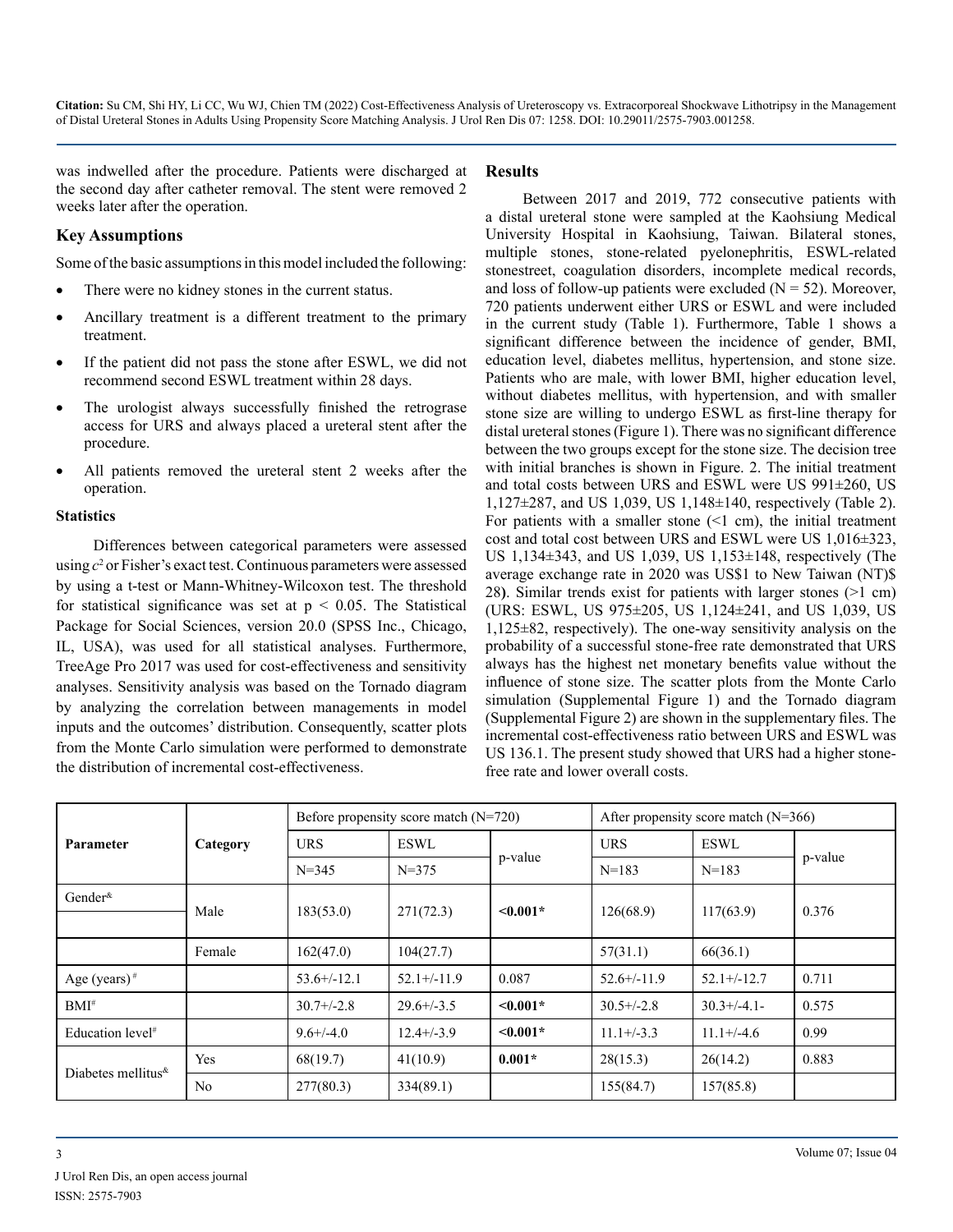was indwelled after the procedure. Patients were discharged at the second day after catheter removal. The stent were removed 2 weeks later after the operation.

#### **Key Assumptions**

Some of the basic assumptions in this model included the following:

- There were no kidney stones in the current status.
- Ancillary treatment is a different treatment to the primary treatment.
- If the patient did not pass the stone after ESWL, we did not recommend second ESWL treatment within 28 days.
- The urologist always successfully finished the retrograse access for URS and always placed a ureteral stent after the procedure.
- All patients removed the ureteral stent 2 weeks after the operation.

#### **Statistics**

Differences between categorical parameters were assessed using  $c^2$  or Fisher's exact test. Continuous parameters were assessed by using a t-test or Mann-Whitney-Wilcoxon test. The threshold for statistical significance was set at  $p < 0.05$ . The Statistical Package for Social Sciences, version 20.0 (SPSS Inc., Chicago, IL, USA), was used for all statistical analyses. Furthermore, TreeAge Pro 2017 was used for cost-effectiveness and sensitivity analyses. Sensitivity analysis was based on the Tornado diagram by analyzing the correlation between managements in model inputs and the outcomes' distribution. Consequently, scatter plots from the Monte Carlo simulation were performed to demonstrate the distribution of incremental cost-effectiveness.

#### **Results**

Between 2017 and 2019, 772 consecutive patients with a distal ureteral stone were sampled at the Kaohsiung Medical University Hospital in Kaohsiung, Taiwan. Bilateral stones, multiple stones, stone-related pyelonephritis, ESWL-related stonestreet, coagulation disorders, incomplete medical records, and loss of follow-up patients were excluded  $(N = 52)$ . Moreover, 720 patients underwent either URS or ESWL and were included in the current study (Table 1). Furthermore, Table 1 shows a significant difference between the incidence of gender, BMI, education level, diabetes mellitus, hypertension, and stone size. Patients who are male, with lower BMI, higher education level, without diabetes mellitus, with hypertension, and with smaller stone size are willing to undergo ESWL as first-line therapy for distal ureteral stones (Figure 1). There was no significant difference between the two groups except for the stone size. The decision tree with initial branches is shown in Figure. 2. The initial treatment and total costs between URS and ESWL were US 991±260, US 1,127±287, and US 1,039, US 1,148±140, respectively (Table 2). For patients with a smaller stone  $(1 \text{ cm})$ , the initial treatment cost and total cost between URS and ESWL were US 1,016±323, US 1,134±343, and US 1,039, US 1,153±148, respectively (The average exchange rate in 2020 was US\$1 to New Taiwan (NT)\$ 28**)**. Similar trends exist for patients with larger stones (>1 cm) (URS: ESWL, US 975±205, US 1,124±241, and US 1,039, US 1,125±82, respectively). The one-way sensitivity analysis on the probability of a successful stone-free rate demonstrated that URS always has the highest net monetary benefits value without the influence of stone size. The scatter plots from the Monte Carlo simulation (Supplemental Figure 1) and the Tornado diagram (Supplemental Figure 2) are shown in the supplementary files. The incremental cost-effectiveness ratio between URS and ESWL was US 136.1. The present study showed that URS had a higher stonefree rate and lower overall costs.

| <b>Parameter</b>             | Category       | Before propensity score match $(N=720)$ |                 |               | After propensity score match $(N=366)$ |                  |         |
|------------------------------|----------------|-----------------------------------------|-----------------|---------------|----------------------------------------|------------------|---------|
|                              |                | <b>URS</b>                              | ESWL            | p-value       | <b>URS</b>                             | <b>ESWL</b>      | p-value |
|                              |                | $N = 345$                               | $N = 375$       |               | $N=183$                                | $N=183$          |         |
| Gender $\kappa$              | Male           |                                         |                 | $\leq 0.001*$ | 126(68.9)                              | 117(63.9)        | 0.376   |
|                              |                | 183(53.0)                               | 271(72.3)       |               |                                        |                  |         |
|                              | Female         | 162(47.0)                               | 104(27.7)       |               | 57(31.1)                               | 66(36.1)         |         |
| Age (years) <sup>#</sup>     |                | $53.6+/-12.1$                           | $52.1+/-11.9$   | 0.087         | $52.6+/-11.9$                          | $52.1 + (-12.7)$ | 0.711   |
| $BMI^#$                      |                | $30.7 + (-2.8)$                         | $29.6 + (-3.5)$ | $\leq 0.001*$ | $30.5+/-2.8$                           | $30.3+/4.1-$     | 0.575   |
| Education level <sup>#</sup> |                | $9.6 + (-4.0)$                          | $12.4 + (-3.9)$ | $\leq 0.001*$ | $11.1 + (-3.3)$                        | $11.1+/-4.6$     | 0.99    |
| Diabetes mellitus $\kappa$   | Yes            | 68(19.7)                                | 41(10.9)        | $0.001*$      | 28(15.3)                               | 26(14.2)         | 0.883   |
|                              | N <sub>0</sub> | 277(80.3)                               | 334(89.1)       |               | 155(84.7)                              | 157(85.8)        |         |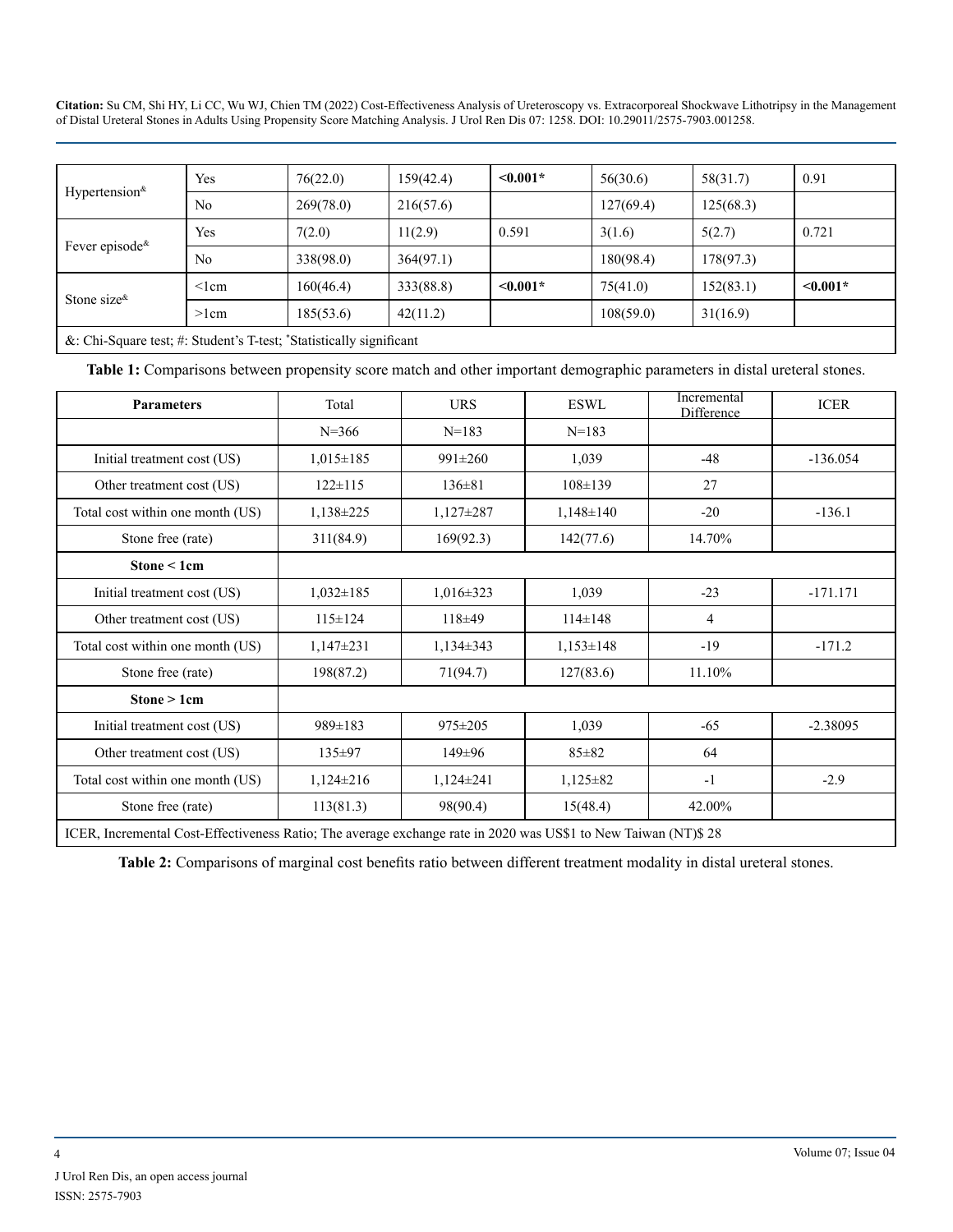| Hypertension $\kappa$<br>Fever episode <sup>&amp;</sup>              | <b>Yes</b>     | 76(22.0)  | 159(42.4) | $\leq 0.001*$ | 56(30.6)  | 58(31.7)  | 0.91          |
|----------------------------------------------------------------------|----------------|-----------|-----------|---------------|-----------|-----------|---------------|
|                                                                      | N <sub>0</sub> | 269(78.0) | 216(57.6) |               | 127(69.4) | 125(68.3) |               |
|                                                                      | Yes            | 7(2.0)    | 11(2.9)   | 0.591         | 3(1.6)    | 5(2.7)    | 0.721         |
|                                                                      | N <sub>0</sub> | 338(98.0) | 364(97.1) |               | 180(98.4) | 178(97.3) |               |
| Stone size $\&$                                                      | $\leq$ lcm     | 160(46.4) | 333(88.8) | $\leq 0.001*$ | 75(41.0)  | 152(83.1) | $\leq 0.001*$ |
|                                                                      | $>1$ cm        | 185(53.6) | 42(11.2)  |               | 108(59.0) | 31(16.9)  |               |
| &: Chi-Square test; #: Student's T-test; "Statistically significant" |                |           |           |               |           |           |               |

**Table 1:** Comparisons between propensity score match and other important demographic parameters in distal ureteral stones.

| <b>Parameters</b>                                                                                              | Total           | <b>URS</b>      | <b>ESWL</b>     | Incremental<br>Difference | <b>ICER</b> |
|----------------------------------------------------------------------------------------------------------------|-----------------|-----------------|-----------------|---------------------------|-------------|
|                                                                                                                | $N = 366$       | $N = 183$       | $N = 183$       |                           |             |
| Initial treatment cost (US)                                                                                    | $1,015 \pm 185$ | $991 \pm 260$   | 1,039           | $-48$                     | $-136.054$  |
| Other treatment cost (US)                                                                                      | $122 \pm 115$   | $136 \pm 81$    | $108 \pm 139$   | 27                        |             |
| Total cost within one month (US)                                                                               | $1,138\pm 225$  | $1,127\pm 287$  | $1,148 \pm 140$ | $-20$                     | $-136.1$    |
| Stone free (rate)                                                                                              | 311(84.9)       | 169(92.3)       | 142(77.6)       | 14.70%                    |             |
| Stone $\leq 1$ cm                                                                                              |                 |                 |                 |                           |             |
| Initial treatment cost (US)                                                                                    | $1,032 \pm 185$ | $1,016 \pm 323$ | 1,039           | $-23$                     | $-171.171$  |
| Other treatment cost (US)                                                                                      | $115 \pm 124$   | 118±49          | $114 \pm 148$   | $\overline{4}$            |             |
| Total cost within one month (US)                                                                               | $1,147\pm231$   | $1,134\pm 343$  | $1,153\pm148$   | $-19$                     | $-171.2$    |
| Stone free (rate)                                                                                              | 198(87.2)       | 71(94.7)        | 127(83.6)       | 11.10%                    |             |
| Stone > 1cm                                                                                                    |                 |                 |                 |                           |             |
| Initial treatment cost (US)                                                                                    | $989 \pm 183$   | $975 \pm 205$   | 1,039           | $-65$                     | $-2.38095$  |
| Other treatment cost (US)                                                                                      | $135 \pm 97$    | $149 \pm 96$    | $85 \pm 82$     | 64                        |             |
| Total cost within one month (US)                                                                               | $1,124\pm216$   | $1,124\pm 241$  | $1,125 \pm 82$  | $-1$                      | $-2.9$      |
| Stone free (rate)                                                                                              | 113(81.3)       | 98(90.4)        | 15(48.4)        | 42.00%                    |             |
| ICER, Incremental Cost-Effectiveness Ratio; The average exchange rate in 2020 was US\$1 to New Taiwan (NT)\$28 |                 |                 |                 |                           |             |

**Table 2:** Comparisons of marginal cost benefits ratio between different treatment modality in distal ureteral stones.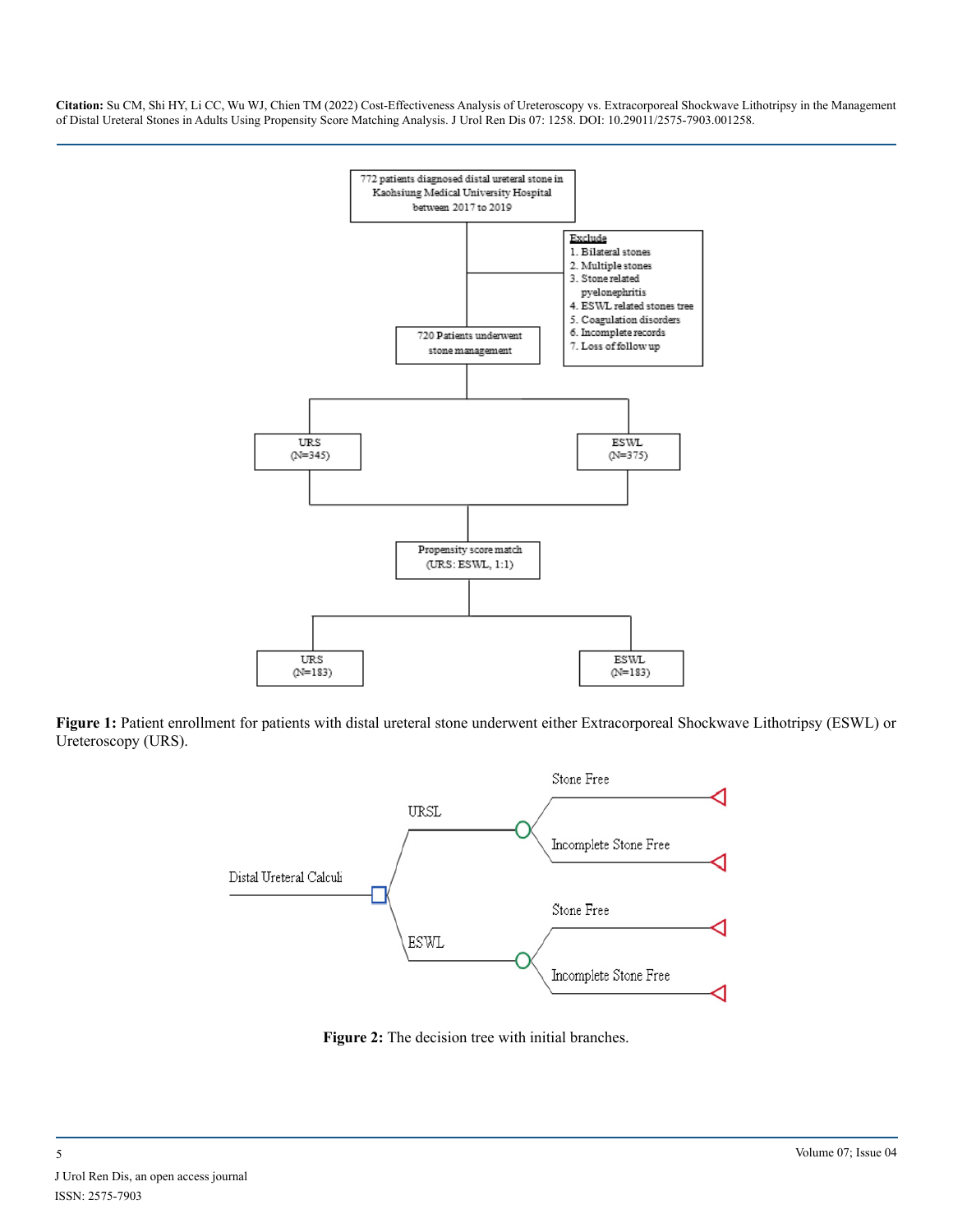

**Figure 1:** Patient enrollment for patients with distal ureteral stone underwent either Extracorporeal Shockwave Lithotripsy (ESWL) or Ureteroscopy (URS).



Figure 2: The decision tree with initial branches.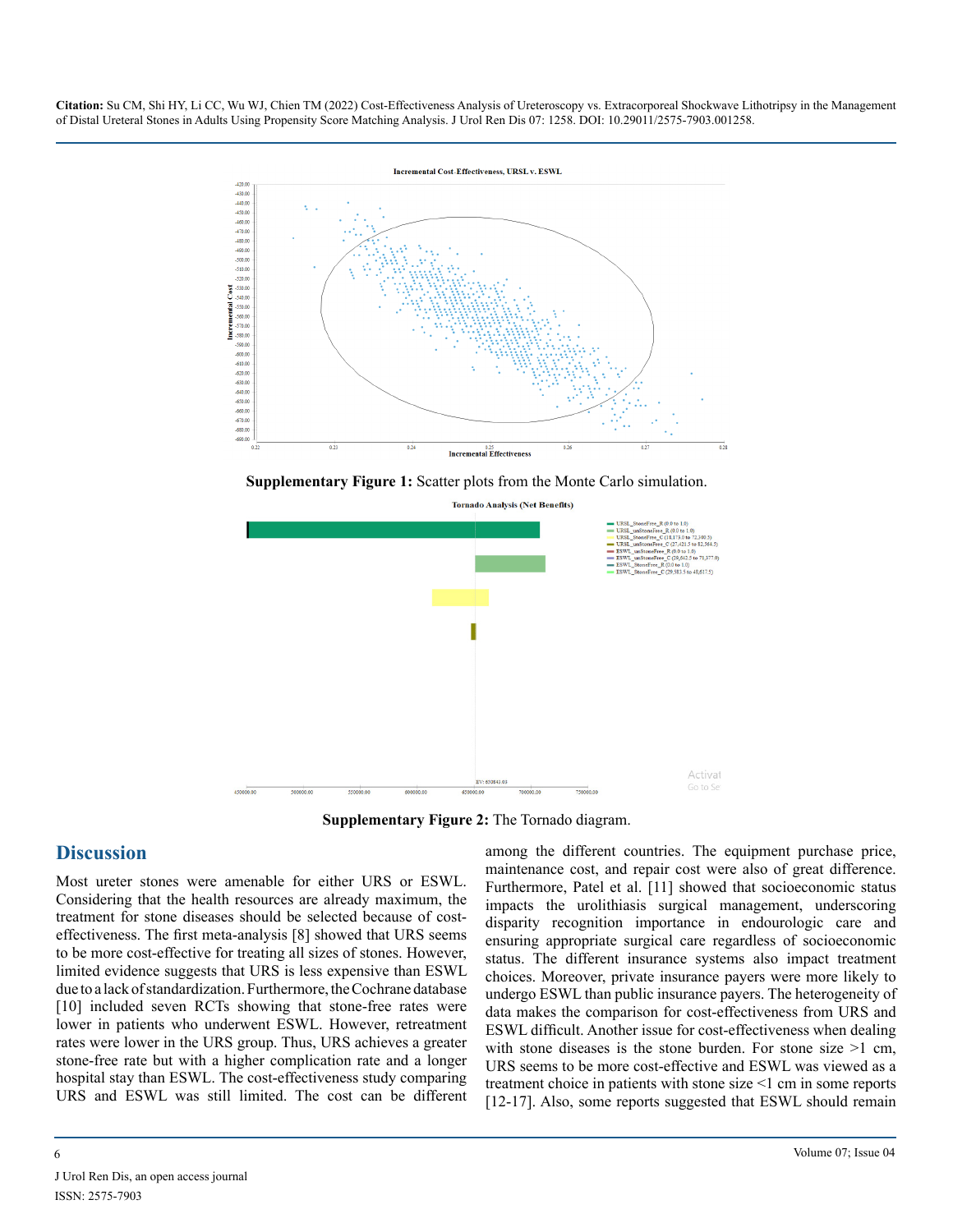

**Supplementary Figure 1:** Scatter plots from the Monte Carlo simulation.



**Supplementary Figure 2:** The Tornado diagram.

# **Discussion**

Most ureter stones were amenable for either URS or ESWL. Considering that the health resources are already maximum, the treatment for stone diseases should be selected because of costeffectiveness. The first meta-analysis [8] showed that URS seems to be more cost-effective for treating all sizes of stones. However, limited evidence suggests that URS is less expensive than ESWL due to a lack of standardization. Furthermore, the Cochrane database [10] included seven RCTs showing that stone-free rates were lower in patients who underwent ESWL. However, retreatment rates were lower in the URS group. Thus, URS achieves a greater stone-free rate but with a higher complication rate and a longer hospital stay than ESWL. The cost-effectiveness study comparing URS and ESWL was still limited. The cost can be different

among the different countries. The equipment purchase price, maintenance cost, and repair cost were also of great difference. Furthermore, Patel et al. [11] showed that socioeconomic status impacts the urolithiasis surgical management, underscoring disparity recognition importance in endourologic care and ensuring appropriate surgical care regardless of socioeconomic status. The different insurance systems also impact treatment choices. Moreover, private insurance payers were more likely to undergo ESWL than public insurance payers. The heterogeneity of data makes the comparison for cost-effectiveness from URS and ESWL difficult. Another issue for cost-effectiveness when dealing with stone diseases is the stone burden. For stone size  $>1$  cm, URS seems to be more cost-effective and ESWL was viewed as a treatment choice in patients with stone size <1 cm in some reports [12-17]. Also, some reports suggested that ESWL should remain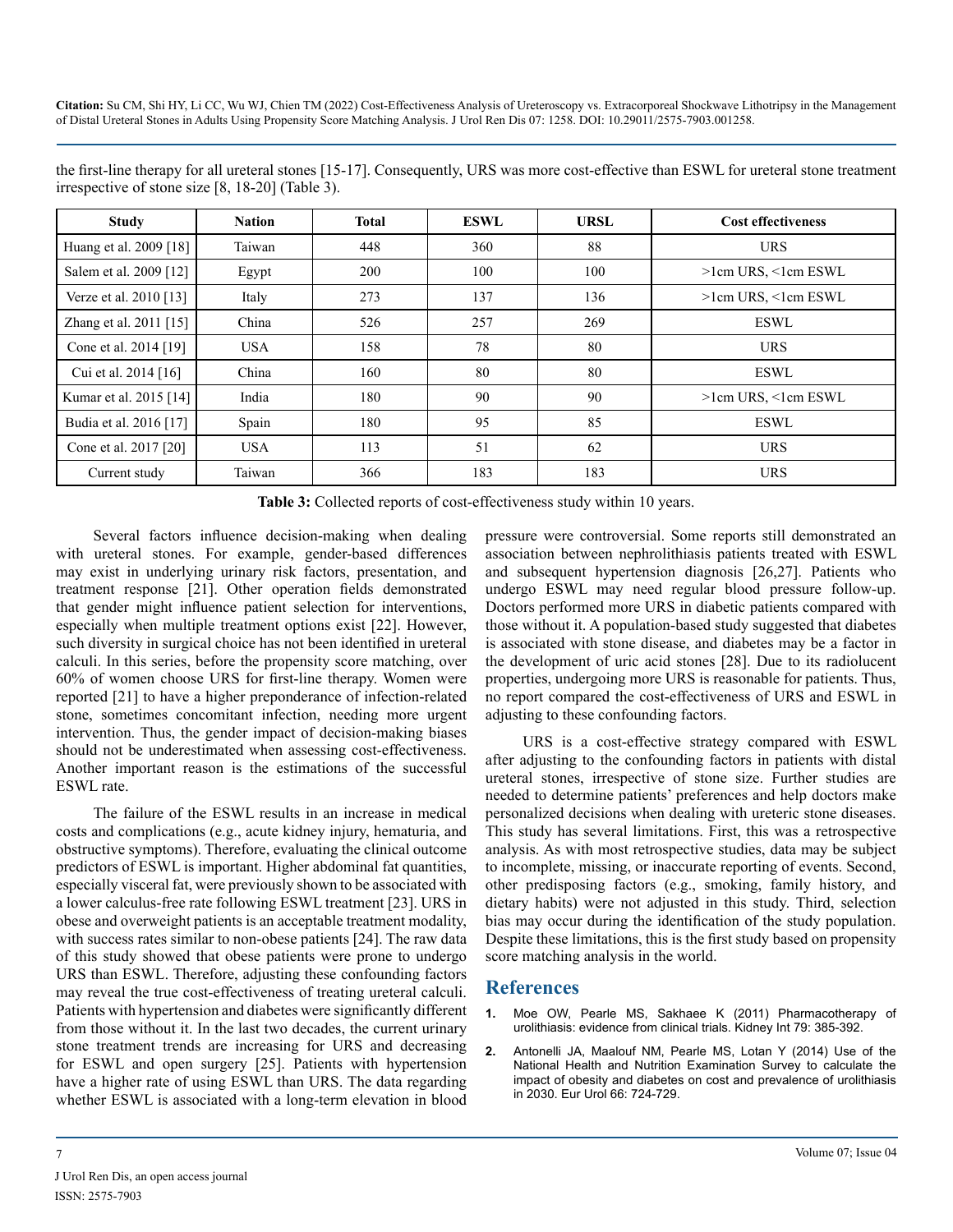| <b>Study</b>           | <b>Nation</b> | <b>Total</b> | <b>ESWL</b> | <b>URSL</b> | <b>Cost effectiveness</b> |
|------------------------|---------------|--------------|-------------|-------------|---------------------------|
| Huang et al. 2009 [18] | Taiwan        | 448          | 360         | 88          | <b>URS</b>                |
| Salem et al. 2009 [12] | Egypt         | 200          | 100         | 100         | $>1$ cm URS, $<1$ cm ESWL |
| Verze et al. 2010 [13] | Italy         | 273          | 137         | 136         | $>1$ cm URS, $<1$ cm ESWL |
| Zhang et al. 2011 [15] | China         | 526          | 257         | 269         | <b>ESWL</b>               |
| Cone et al. 2014 [19]  | <b>USA</b>    | 158          | 78          | 80          | <b>URS</b>                |
| Cui et al. 2014 [16]   | China         | 160          | 80          | 80          | <b>ESWL</b>               |
| Kumar et al. 2015 [14] | India         | 180          | 90          | 90          | $>1$ cm URS, $<1$ cm ESWL |
| Budia et al. 2016 [17] | Spain         | 180          | 95          | 85          | <b>ESWL</b>               |
| Cone et al. 2017 [20]  | <b>USA</b>    | 113          | 51          | 62          | <b>URS</b>                |
| Current study          | Taiwan        | 366          | 183         | 183         | <b>URS</b>                |

the first-line therapy for all ureteral stones [15-17]. Consequently, URS was more cost-effective than ESWL for ureteral stone treatment irrespective of stone size [8, 18-20] (Table 3).

**Table 3:** Collected reports of cost-effectiveness study within 10 years.

Several factors influence decision-making when dealing with ureteral stones. For example, gender-based differences may exist in underlying urinary risk factors, presentation, and treatment response [21]. Other operation fields demonstrated that gender might influence patient selection for interventions, especially when multiple treatment options exist [22]. However, such diversity in surgical choice has not been identified in ureteral calculi. In this series, before the propensity score matching, over 60% of women choose URS for first-line therapy. Women were reported [21] to have a higher preponderance of infection-related stone, sometimes concomitant infection, needing more urgent intervention. Thus, the gender impact of decision-making biases should not be underestimated when assessing cost-effectiveness. Another important reason is the estimations of the successful ESWL rate.

The failure of the ESWL results in an increase in medical costs and complications (e.g., acute kidney injury, hematuria, and obstructive symptoms). Therefore, evaluating the clinical outcome predictors of ESWL is important. Higher abdominal fat quantities, especially visceral fat, were previously shown to be associated with a lower calculus-free rate following ESWL treatment [23]. URS in obese and overweight patients is an acceptable treatment modality, with success rates similar to non-obese patients [24]. The raw data of this study showed that obese patients were prone to undergo URS than ESWL. Therefore, adjusting these confounding factors may reveal the true cost-effectiveness of treating ureteral calculi. Patients with hypertension and diabetes were significantly different from those without it. In the last two decades, the current urinary stone treatment trends are increasing for URS and decreasing for ESWL and open surgery [25]. Patients with hypertension have a higher rate of using ESWL than URS. The data regarding whether ESWL is associated with a long-term elevation in blood pressure were controversial. Some reports still demonstrated an association between nephrolithiasis patients treated with ESWL and subsequent hypertension diagnosis [26,27]. Patients who undergo ESWL may need regular blood pressure follow-up. Doctors performed more URS in diabetic patients compared with those without it. A population-based study suggested that diabetes is associated with stone disease, and diabetes may be a factor in the development of uric acid stones [28]. Due to its radiolucent properties, undergoing more URS is reasonable for patients. Thus, no report compared the cost-effectiveness of URS and ESWL in adjusting to these confounding factors.

URS is a cost-effective strategy compared with ESWL after adjusting to the confounding factors in patients with distal ureteral stones, irrespective of stone size. Further studies are needed to determine patients' preferences and help doctors make personalized decisions when dealing with ureteric stone diseases. This study has several limitations. First, this was a retrospective analysis. As with most retrospective studies, data may be subject to incomplete, missing, or inaccurate reporting of events. Second, other predisposing factors (e.g., smoking, family history, and dietary habits) were not adjusted in this study. Third, selection bias may occur during the identification of the study population. Despite these limitations, this is the first study based on propensity score matching analysis in the world.

## **References**

- **1.** [Moe OW, Pearle MS, Sakhaee K \(2011\) Pharmacotherapy of](https://www.kidney-international.org/article/S0085-2538(15)54814-X/fulltext)  [urolithiasis: evidence from clinical trials.](https://www.kidney-international.org/article/S0085-2538(15)54814-X/fulltext) Kidney Int 79: 385-392.
- **2.** [Antonelli JA, Maalouf NM, Pearle MS, Lotan Y \(2014\) Use of the](https://pubmed.ncbi.nlm.nih.gov/25015037/)  [National Health and Nutrition Examination Survey to calculate the](https://pubmed.ncbi.nlm.nih.gov/25015037/)  [impact of obesity and diabetes on cost and prevalence of urolithiasis](https://pubmed.ncbi.nlm.nih.gov/25015037/)  in 2030. [Eur Urol 66: 724-729.](https://pubmed.ncbi.nlm.nih.gov/25015037/)